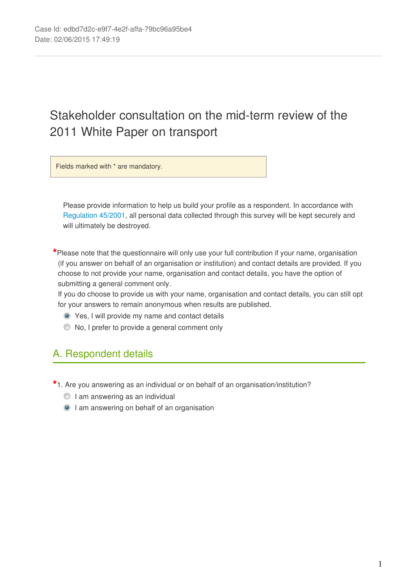# Stakeholder consultation on the mid-term review of the 2011 White Paper on transport

Fields marked with \* are mandatory.

Please provide information to help us build your profile as a respondent. In accordance with [Regulation 45/2001](http://eur-lex.europa.eu/LexUriServ/LexUriServ.do?uri=CELEX:32001R0045:EN:NOT), all personal data collected through this survey will be kept securely and will ultimately be destroyed.

**\***Please note that the questionnaire will only use your full contribution if your name, organisation (if you answer on behalf of an organisation or institution) and contact details are provided. If you choose to not provide your name, organisation and contact details, you have the option of submitting a general comment only.

If you do choose to provide us with your name, organisation and contact details, you can still opt for your answers to remain anonymous when results are published.

- Yes, I will provide my name and contact details
- No, I prefer to provide a general comment only

## A. Respondent details

- **\***1. Are you answering as an individual or on behalf of an organisation/institution?
	- $\bigcirc$  I am answering as an individual
	- <sup>O</sup> I am answering on behalf of an organisation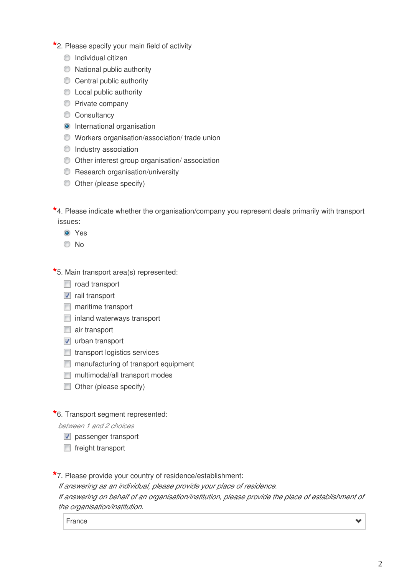- **\***2. Please specify your main field of activity
	- **Individual citizen**
	- $\bullet$  National public authority
	- Central public authority
	- **C** Local public authority
	- **Private company**
	- Consultancy
	- **O** International organisation
	- Workers organisation/association/ trade union
	- **Industry association**
	- Other interest group organisation/ association
	- **C** Research organisation/university
	- Other (please specify)

**\***4. Please indicate whether the organisation/company you represent deals primarily with transport issues:

<sup>O</sup> Yes

© No

**\***5. Main transport area(s) represented:

- oad transport
- $\blacksquare$  rail transport
- $\Box$  maritime transport
- inland waterways transport
- air transport
- $\sqrt{ }$  urban transport
- $\Box$  transport logistics services
- $\Box$  manufacturing of transport equipment
- **multimodal/all transport modes**
- $\Box$  Other (please specify)

#### **\***6. Transport segment represented:

*between 1 and 2 choices*

- **v** passenger transport
- $\Box$  freight transport

**\***7. Please provide your country of residence/establishment:

*If answering as an individual, please provide your place of residence.*

*If answering on behalf of an organisation/institution, please provide the place of establishment of the organisation/institution.*

France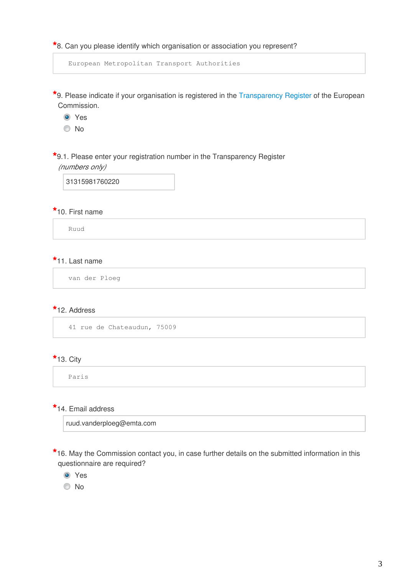**\***8. Can you please identify which organisation or association you represent?

European Metropolitan Transport Authorities

**\***9. Please indicate if your organisation is registered in the [Transparency Register](http://europa.eu/transparency-register/index_en.htm) of the European Commission.

<sup>O</sup> Yes

© No

**\***9.1. Please enter your registration number in the Transparency Register

*(numbers only)*

31315981760220

#### **\***10. First name

Ruud

#### **\***11. Last name

van der Ploeg

#### **\***12. Address

41 rue de Chateaudun, 75009

### **\***13. City

Paris

#### **\***14. Email address

ruud.vanderploeg@emta.com

**\***16. May the Commission contact you, in case further details on the submitted information in this questionnaire are required?

Yes

No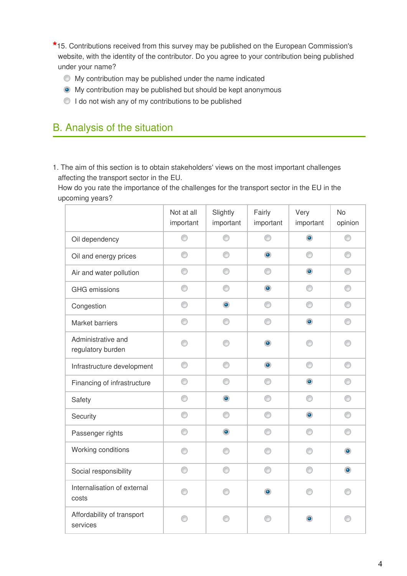**\***15. Contributions received from this survey may be published on the European Commission's website, with the identity of the contributor. Do you agree to your contribution being published under your name?

- My contribution may be published under the name indicated
- My contribution may be published but should be kept anonymous
- $\bullet$  I do not wish any of my contributions to be published

## B. Analysis of the situation

1. The aim of this section is to obtain stakeholders' views on the most important challenges affecting the transport sector in the EU.

How do you rate the importance of the challenges for the transport sector in the EU in the upcoming years?

|                                         | Not at all<br>important | Slightly<br>important | Fairly<br>important | Very<br>important | <b>No</b><br>opinion |
|-----------------------------------------|-------------------------|-----------------------|---------------------|-------------------|----------------------|
| Oil dependency                          | ⊙                       | ⊙                     | ⊙                   | $\circledcirc$    | ⊙                    |
| Oil and energy prices                   | 0                       | ⊙                     | $\circledcirc$      | ⊙                 | ⊙                    |
| Air and water pollution                 | ⊙                       | ∩                     | ∩                   | $\circledcirc$    | ∩                    |
| <b>GHG</b> emissions                    | ⊙                       | ⊙                     | $\circledcirc$      | ⊙                 | ⊙                    |
| Congestion                              | 0                       | $\bullet$             | ⊙                   | ⊙                 | 0                    |
| <b>Market barriers</b>                  | ⊙                       | ⊙                     | ⊙                   | $\bullet$         | ⊙                    |
| Administrative and<br>regulatory burden | ∩                       |                       | $\bullet$           |                   |                      |
| Infrastructure development              | ⊙                       | ⊙                     | $\circledcirc$      | ⊙                 | ⊙                    |
| Financing of infrastructure             | ⊙                       | ⊙                     | ⊙                   | $\circledcirc$    | ⊙                    |
| Safety                                  | 0                       | $\bullet$             | 0                   | 0                 | ⊙                    |
| Security                                | 0                       | ⊙                     | ⊙                   | $\bullet$         | ⊙                    |
| Passenger rights                        | O                       | $\bullet$             | ⊙                   | ⊙                 | ⊙                    |
| Working conditions                      | ⊙                       | ∩                     | ∩                   | ∩                 | ۰                    |
| Social responsibility                   | ⊙                       | ⊙                     | ⊙                   | ⊙                 | $\circledcirc$       |
| Internalisation of external<br>costs    | ∩                       |                       | ۰                   |                   |                      |
| Affordability of transport<br>services  |                         |                       |                     | $\bullet$         |                      |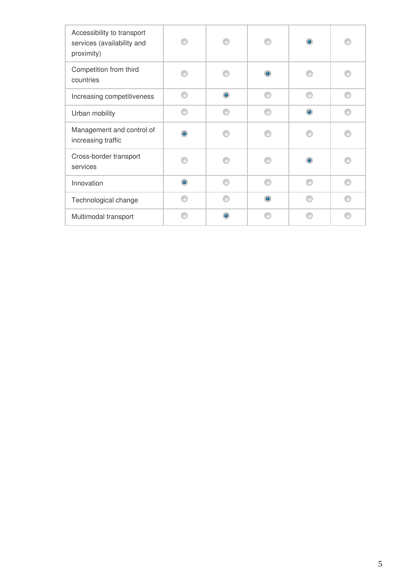| Accessibility to transport<br>services (availability and<br>proximity) |   |           |           | $\bullet$ |   |
|------------------------------------------------------------------------|---|-----------|-----------|-----------|---|
| Competition from third<br>countries                                    |   |           | ۰         |           |   |
| Increasing competitiveness                                             |   | $\bullet$ |           | e         |   |
| Urban mobility                                                         |   |           |           | $\bullet$ | ⋒ |
| Management and control of<br>increasing traffic                        | ۵ |           |           |           |   |
| Cross-border transport<br>services                                     |   |           |           | $\bullet$ |   |
| Innovation                                                             | ۵ |           |           | A         |   |
| Technological change                                                   |   |           | $\bullet$ | ⋒         | ⋒ |
| Multimodal transport                                                   |   | ۰         |           |           |   |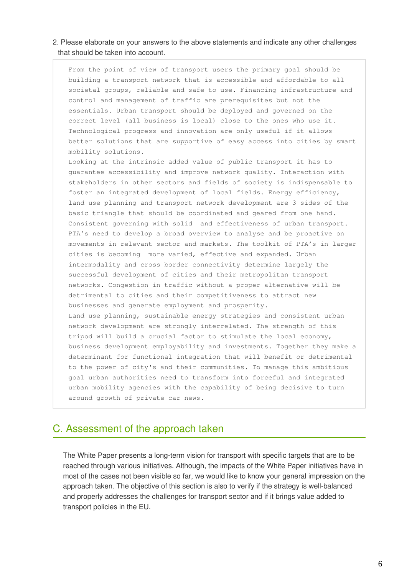#### 2. Please elaborate on your answers to the above statements and indicate any other challenges that should be taken into account.

From the point of view of transport users the primary goal should be building a transport network that is accessible and affordable to all societal groups, reliable and safe to use. Financing infrastructure and control and management of traffic are prerequisites but not the essentials. Urban transport should be deployed and governed on the correct level (all business is local) close to the ones who use it. Technological progress and innovation are only useful if it allows better solutions that are supportive of easy access into cities by smart mobility solutions.

Looking at the intrinsic added value of public transport it has to guarantee accessibility and improve network quality. Interaction with stakeholders in other sectors and fields of society is indispensable to foster an integrated development of local fields. Energy efficiency, land use planning and transport network development are 3 sides of the basic triangle that should be coordinated and geared from one hand. Consistent governing with solid and effectiveness of urban transport. PTA's need to develop a broad overview to analyse and be proactive on movements in relevant sector and markets. The toolkit of PTA's in larger cities is becoming more varied, effective and expanded. Urban intermodality and cross border connectivity determine largely the successful development of cities and their metropolitan transport networks. Congestion in traffic without a proper alternative will be detrimental to cities and their competitiveness to attract new businesses and generate employment and prosperity. Land use planning, sustainable energy strategies and consistent urban network development are strongly interrelated. The strength of this tripod will build a crucial factor to stimulate the local economy, business development employability and investments. Together they make a determinant for functional integration that will benefit or detrimental to the power of city's and their communities. To manage this ambitious goal urban authorities need to transform into forceful and integrated urban mobility agencies with the capability of being decisive to turn around growth of private car news.

### C. Assessment of the approach taken

The White Paper presents a long-term vision for transport with specific targets that are to be reached through various initiatives. Although, the impacts of the White Paper initiatives have in most of the cases not been visible so far, we would like to know your general impression on the approach taken. The objective of this section is also to verify if the strategy is well-balanced and properly addresses the challenges for transport sector and if it brings value added to transport policies in the EU.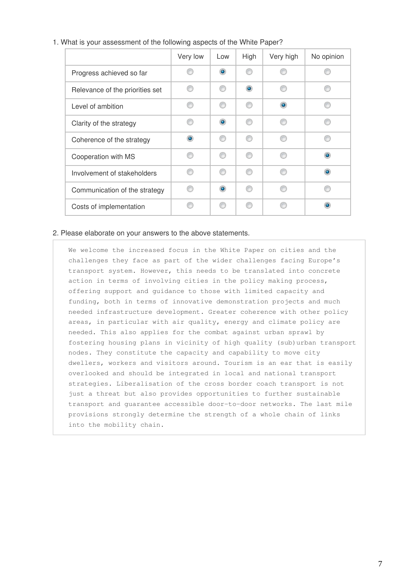|                                 | Very low | Low       | High      | Very high | No opinion |
|---------------------------------|----------|-----------|-----------|-----------|------------|
| Progress achieved so far        |          | ۰         | ⋒         |           |            |
| Relevance of the priorities set |          |           | $\bullet$ |           |            |
| Level of ambition               | ⋒        | ⋒         | ⋒         | $\bullet$ |            |
| Clarity of the strategy         | C        | $\bullet$ | ∩         |           |            |
| Coherence of the strategy       | ۵        |           |           |           |            |
| Cooperation with MS             |          |           |           |           | ۰          |
| Involvement of stakeholders     |          |           |           |           | ۵          |
| Communication of the strategy   | ⋒        | ۰         | ∩         |           |            |
| Costs of implementation         |          |           |           |           |            |

#### 1. What is your assessment of the following aspects of the White Paper?

#### 2. Please elaborate on your answers to the above statements.

We welcome the increased focus in the White Paper on cities and the challenges they face as part of the wider challenges facing Europe's transport system. However, this needs to be translated into concrete action in terms of involving cities in the policy making process, offering support and guidance to those with limited capacity and funding, both in terms of innovative demonstration projects and much needed infrastructure development. Greater coherence with other policy areas, in particular with air quality, energy and climate policy are needed. This also applies for the combat against urban sprawl by fostering housing plans in vicinity of high quality (sub)urban transport nodes. They constitute the capacity and capability to move city dwellers, workers and visitors around. Tourism is an ear that is easily overlooked and should be integrated in local and national transport strategies. Liberalisation of the cross border coach transport is not just a threat but also provides opportunities to further sustainable transport and guarantee accessible door-to-door networks. The last mile provisions strongly determine the strength of a whole chain of links into the mobility chain.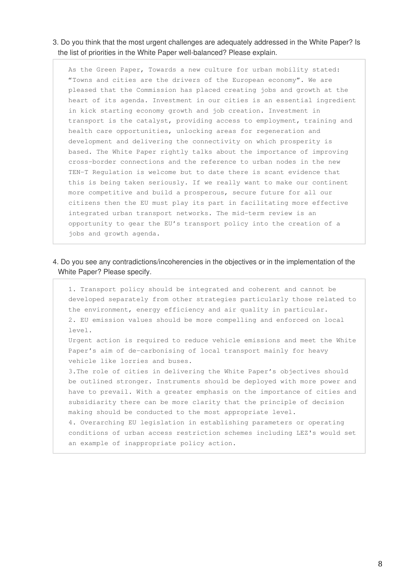3. Do you think that the most urgent challenges are adequately addressed in the White Paper? Is the list of priorities in the White Paper well-balanced? Please explain.

As the Green Paper, Towards a new culture for urban mobility stated: "Towns and cities are the drivers of the European economy". We are pleased that the Commission has placed creating jobs and growth at the heart of its agenda. Investment in our cities is an essential ingredient in kick starting economy growth and job creation. Investment in transport is the catalyst, providing access to employment, training and health care opportunities, unlocking areas for regeneration and development and delivering the connectivity on which prosperity is based. The White Paper rightly talks about the importance of improving cross-border connections and the reference to urban nodes in the new TEN-T Regulation is welcome but to date there is scant evidence that this is being taken seriously. If we really want to make our continent more competitive and build a prosperous, secure future for all our citizens then the EU must play its part in facilitating more effective integrated urban transport networks. The mid-term review is an opportunity to gear the EU's transport policy into the creation of a jobs and growth agenda.

#### 4. Do you see any contradictions/incoherencies in the objectives or in the implementation of the White Paper? Please specify.

1. Transport policy should be integrated and coherent and cannot be developed separately from other strategies particularly those related to the environment, energy efficiency and air quality in particular. 2. EU emission values should be more compelling and enforced on local level.

Urgent action is required to reduce vehicle emissions and meet the White Paper's aim of de-carbonising of local transport mainly for heavy vehicle like lorries and buses.

3.The role of cities in delivering the White Paper's objectives should be outlined stronger. Instruments should be deployed with more power and have to prevail. With a greater emphasis on the importance of cities and subsidiarity there can be more clarity that the principle of decision making should be conducted to the most appropriate level.

4. Overarching EU legislation in establishing parameters or operating conditions of urban access restriction schemes including LEZ's would set an example of inappropriate policy action.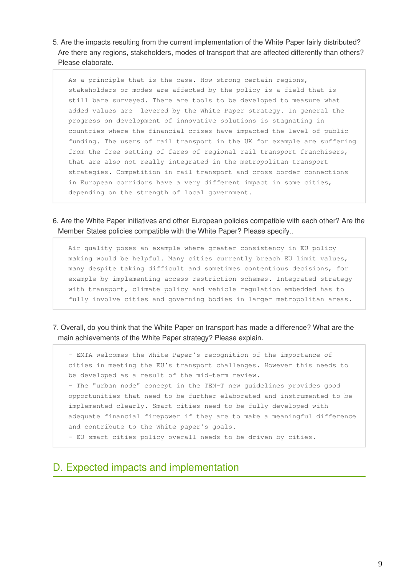5. Are the impacts resulting from the current implementation of the White Paper fairly distributed? Are there any regions, stakeholders, modes of transport that are affected differently than others? Please elaborate.

As a principle that is the case. How strong certain regions, stakeholders or modes are affected by the policy is a field that is still bare surveyed. There are tools to be developed to measure what added values are levered by the White Paper strategy. In general the progress on development of innovative solutions is stagnating in countries where the financial crises have impacted the level of public funding. The users of rail transport in the UK for example are suffering from the free setting of fares of regional rail transport franchisers, that are also not really integrated in the metropolitan transport strategies. Competition in rail transport and cross border connections in European corridors have a very different impact in some cities, depending on the strength of local government.

6. Are the White Paper initiatives and other European policies compatible with each other? Are the Member States policies compatible with the White Paper? Please specify..

Air quality poses an example where greater consistency in EU policy making would be helpful. Many cities currently breach EU limit values, many despite taking difficult and sometimes contentious decisions, for example by implementing access restriction schemes. Integrated strategy with transport, climate policy and vehicle regulation embedded has to fully involve cities and governing bodies in larger metropolitan areas.

7. Overall, do you think that the White Paper on transport has made a difference? What are the main achievements of the White Paper strategy? Please explain.

- EMTA welcomes the White Paper's recognition of the importance of cities in meeting the EU's transport challenges. However this needs to be developed as a result of the mid-term review. - The "urban node" concept in the TEN-T new guidelines provides good opportunities that need to be further elaborated and instrumented to be implemented clearly. Smart cities need to be fully developed with adequate financial firepower if they are to make a meaningful difference and contribute to the White paper's goals. - EU smart cities policy overall needs to be driven by cities.

### D. Expected impacts and implementation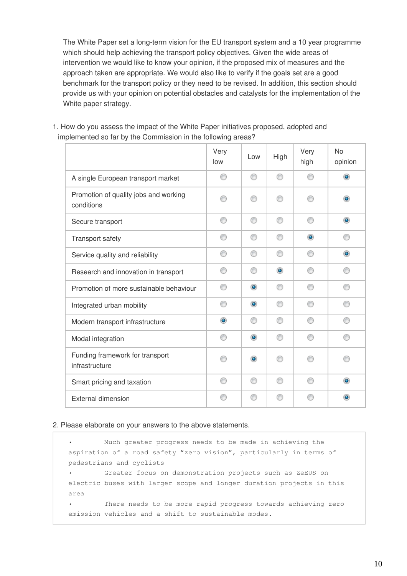The White Paper set a long-term vision for the EU transport system and a 10 year programme which should help achieving the transport policy objectives. Given the wide areas of intervention we would like to know your opinion, if the proposed mix of measures and the approach taken are appropriate. We would also like to verify if the goals set are a good benchmark for the transport policy or they need to be revised. In addition, this section should provide us with your opinion on potential obstacles and catalysts for the implementation of the White paper strategy.

|                                                     | Very<br>low | Low       | High      | Very<br>high | <b>No</b><br>opinion |
|-----------------------------------------------------|-------------|-----------|-----------|--------------|----------------------|
| A single European transport market                  | ∩           | ⊙         | ⋒         |              | ۰                    |
| Promotion of quality jobs and working<br>conditions |             |           |           |              | $\bullet$            |
| Secure transport                                    |             | ⋒         | ⋒         |              | $\bullet$            |
| <b>Transport safety</b>                             | ∩           | ∩         | ∩         | $\bullet$    | ⋒                    |
| Service quality and reliability                     |             | ∩         | 60        |              | $\bullet$            |
| Research and innovation in transport                |             | ∩         | $\bullet$ |              |                      |
| Promotion of more sustainable behaviour             | ⋒           | $\bullet$ | ∩         | ∩            | ⋒                    |
| Integrated urban mobility                           |             | $\bullet$ |           |              |                      |
| Modern transport infrastructure                     | $\bullet$   | ⊙         | ∩         |              |                      |
| Modal integration                                   | ∩           | $\bullet$ | ∩         | ⋒            | ⋒                    |
| Funding framework for transport<br>infrastructure   |             | ۰         |           |              |                      |
| Smart pricing and taxation                          |             |           |           |              | $\bullet$            |
| <b>External dimension</b>                           |             |           |           |              | $\bullet$            |

1. How do you assess the impact of the White Paper initiatives proposed, adopted and implemented so far by the Commission in the following areas?

#### 2. Please elaborate on your answers to the above statements.

Much greater progress needs to be made in achieving the aspiration of a road safety "zero vision", particularly in terms of pedestrians and cyclists • Greater focus on demonstration projects such as ZeEUS on electric buses with larger scope and longer duration projects in this area • There needs to be more rapid progress towards achieving zero emission vehicles and a shift to sustainable modes.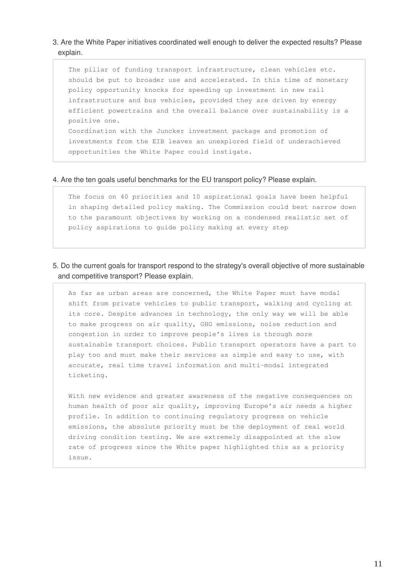#### 3. Are the White Paper initiatives coordinated well enough to deliver the expected results? Please explain.

The pillar of funding transport infrastructure, clean vehicles etc. should be put to broader use and accelerated. In this time of monetary policy opportunity knocks for speeding up investment in new rail infrastructure and bus vehicles, provided they are driven by energy efficient powertrains and the overall balance over sustainability is a positive one.

Coordination with the Juncker investment package and promotion of investments from the EIB leaves an unexplored field of underachieved opportunities the White Paper could instigate.

#### 4. Are the ten goals useful benchmarks for the EU transport policy? Please explain.

The focus on 40 priorities and 10 aspirational goals have been helpful in shaping detailed policy making. The Commission could best narrow down to the paramount objectives by working on a condensed realistic set of policy aspirations to guide policy making at every step

#### 5. Do the current goals for transport respond to the strategy's overall objective of more sustainable and competitive transport? Please explain.

As far as urban areas are concerned, the White Paper must have modal shift from private vehicles to public transport, walking and cycling at its core. Despite advances in technology, the only way we will be able to make progress on air quality, GHG emissions, noise reduction and congestion in order to improve people's lives is through more sustainable transport choices. Public transport operators have a part to play too and must make their services as simple and easy to use, with accurate, real time travel information and multi-modal integrated ticketing.

With new evidence and greater awareness of the negative consequences on human health of poor air quality, improving Europe's air needs a higher profile. In addition to continuing regulatory progress on vehicle emissions, the absolute priority must be the deployment of real world driving condition testing. We are extremely disappointed at the slow rate of progress since the White paper highlighted this as a priority issue.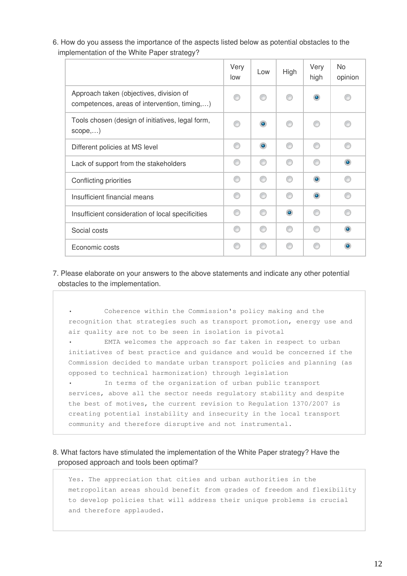6. How do you assess the importance of the aspects listed below as potential obstacles to the implementation of the White Paper strategy?

|                                                                                         | Very<br>low | Low            | High      | Very<br>high | <b>No</b><br>opinion |
|-----------------------------------------------------------------------------------------|-------------|----------------|-----------|--------------|----------------------|
| Approach taken (objectives, division of<br>competences, areas of intervention, timing,) | ⊙           |                |           | $\bullet$    |                      |
| Tools chosen (design of initiatives, legal form,<br>scope,)                             | ⋒           | $\circledcirc$ |           |              |                      |
| Different policies at MS level                                                          | ⊙           | $\bullet$      | ∩         | ⋒            | ⋒                    |
| Lack of support from the stakeholders                                                   | ∩           | ⋒              | ⋒         | ⋒            | $\bullet$            |
| Conflicting priorities                                                                  | ⋒           | ⋒              | ⋒         | $\bullet$    | ⋒                    |
| Insufficient financial means                                                            | ∩           |                | ⋒         | $\bullet$    | ⋒                    |
| Insufficient consideration of local specificities                                       | ⋒           | ⋒              | $\bullet$ | ⋒            | ⋒                    |
| Social costs                                                                            | ⊙           | ⊙              | ⊙         | ⋒            | $\bullet$            |
| Economic costs                                                                          | ⋒           |                |           |              | $\bullet$            |

#### 7. Please elaborate on your answers to the above statements and indicate any other potential obstacles to the implementation.

Coherence within the Commission's policy making and the recognition that strategies such as transport promotion, energy use and air quality are not to be seen in isolation is pivotal

EMTA welcomes the approach so far taken in respect to urban initiatives of best practice and guidance and would be concerned if the Commission decided to mandate urban transport policies and planning (as opposed to technical harmonization) through legislation In terms of the organization of urban public transport services, above all the sector needs regulatory stability and despite the best of motives, the current revision to Regulation 1370/2007 is creating potential instability and insecurity in the local transport community and therefore disruptive and not instrumental.

#### 8. What factors have stimulated the implementation of the White Paper strategy? Have the proposed approach and tools been optimal?

Yes. The appreciation that cities and urban authorities in the metropolitan areas should benefit from grades of freedom and flexibility to develop policies that will address their unique problems is crucial and therefore applauded.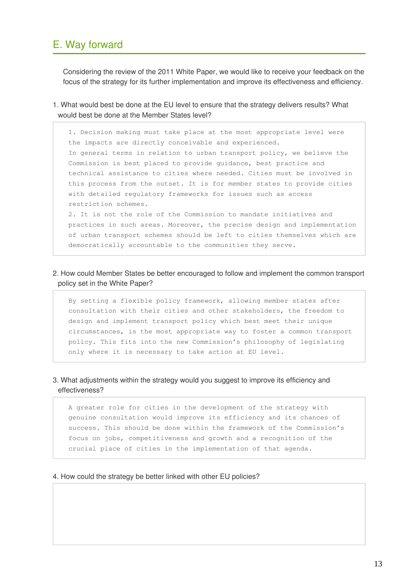## E. Way forward

Considering the review of the 2011 White Paper, we would like to receive your feedback on the focus of the strategy for its further implementation and improve its effectiveness and efficiency.

1. What would best be done at the EU level to ensure that the strategy delivers results? What would best be done at the Member States level?

1. Decision making must take place at the most appropriate level were the impacts are directly conceivable and experienced. In general terms in relation to urban transport policy, we believe the Commission is best placed to provide guidance, best practice and technical assistance to cities where needed. Cities must be involved in this process from the outset. It is for member states to provide cities with detailed regulatory frameworks for issues such as access restriction schemes. 2. It is not the role of the Commission to mandate initiatives and

practices in such areas. Moreover, the precise design and implementation of urban transport schemes should be left to cities themselves which are democratically accountable to the communities they serve.

#### 2. How could Member States be better encouraged to follow and implement the common transport policy set in the White Paper?

By setting a flexible policy framework, allowing member states after consultation with their cities and other stakeholders, the freedom to design and implement transport policy which best meet their unique circumstances, is the most appropriate way to foster a common transport policy. This fits into the new Commission's philosophy of legislating only where it is necessary to take action at EU level.

#### 3. What adjustments within the strategy would you suggest to improve its efficiency and effectiveness?

A greater role for cities in the development of the strategy with genuine consultation would improve its efficiency and its chances of success. This should be done within the framework of the Commission's focus on jobs, competitiveness and growth and a recognition of the crucial place of cities in the implementation of that agenda.

#### 4. How could the strategy be better linked with other EU policies?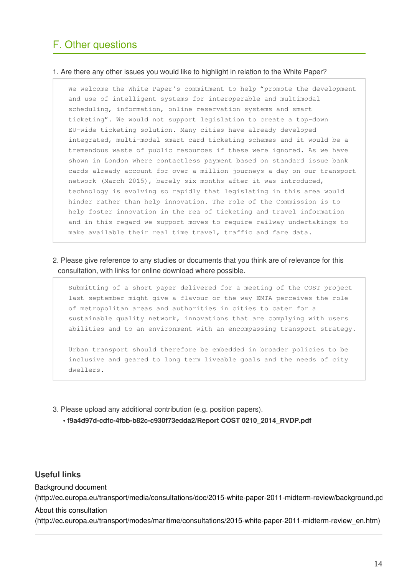#### 1. Are there any other issues you would like to highlight in relation to the White Paper?

We welcome the White Paper's commitment to help "promote the development and use of intelligent systems for interoperable and multimodal scheduling, information, online reservation systems and smart ticketing". We would not support legislation to create a top-down EU-wide ticketing solution. Many cities have already developed integrated, multi-modal smart card ticketing schemes and it would be a tremendous waste of public resources if these were ignored. As we have shown in London where contactless payment based on standard issue bank cards already account for over a million journeys a day on our transport network (March 2015), barely six months after it was introduced, technology is evolving so rapidly that legislating in this area would hinder rather than help innovation. The role of the Commission is to help foster innovation in the rea of ticketing and travel information and in this regard we support moves to require railway undertakings to make available their real time travel, traffic and fare data.

2. Please give reference to any studies or documents that you think are of relevance for this consultation, with links for online download where possible.

Submitting of a short paper delivered for a meeting of the COST project last september might give a flavour or the way EMTA perceives the role of metropolitan areas and authorities in cities to cater for a sustainable quality network, innovations that are complying with users abilities and to an environment with an encompassing transport strategy.

Urban transport should therefore be embedded in broader policies to be inclusive and geared to long term liveable goals and the needs of city dwellers.

3. Please upload any additional contribution (e.g. position papers). **• f9a4d97d-cdfc-4fbb-b82c-c930f73edda2/Report COST 0210\_2014\_RVDP.pdf**

#### **Useful links**

[Background document](http://ec.europa.eu/transport/media/consultations/doc/2015-white-paper-2011-midterm-review/background.pdf)

(http://ec.europa.eu/transport/media/consultations/doc/2015-white-paper-2011-midterm-review/background.pc

[About this consultation](http://ec.europa.eu/transport/modes/maritime/consultations/2015-white-paper-2011-midterm-review_en.htm)

[\(http://ec.europa.eu/transport/modes/maritime/consultations/2015-white-paper-2011-midterm-review\\_en.htm\)](http://ec.europa.eu/transport/modes/maritime/consultations/2015-white-paper-2011-midterm-review_en.htm)